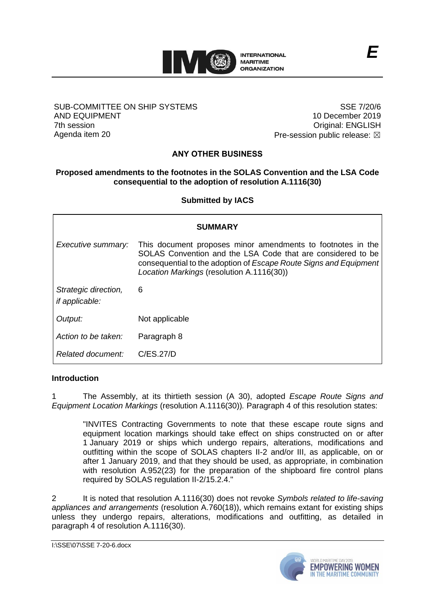

### SUB-COMMITTEE ON SHIP SYSTEMS AND EQUIPMENT 7th session Agenda item 20

SSE 7/20/6 10 December 2019 Original: ENGLISH Pre-session public release:  $\boxtimes$ 

# **ANY OTHER BUSINESS**

## **Proposed amendments to the footnotes in the SOLAS Convention and the LSA Code consequential to the adoption of resolution A.1116(30)**

**Submitted by IACS**

| <b>SUMMARY</b>                                |                                                                                                                                                                                                                                              |
|-----------------------------------------------|----------------------------------------------------------------------------------------------------------------------------------------------------------------------------------------------------------------------------------------------|
| Executive summary:                            | This document proposes minor amendments to footnotes in the<br>SOLAS Convention and the LSA Code that are considered to be<br>consequential to the adoption of Escape Route Signs and Equipment<br>Location Markings (resolution A.1116(30)) |
| Strategic direction,<br><i>if applicable:</i> | 6                                                                                                                                                                                                                                            |
| Output:                                       | Not applicable                                                                                                                                                                                                                               |
| Action to be taken:                           | Paragraph 8                                                                                                                                                                                                                                  |
| Related document:                             | C/ES.27/D                                                                                                                                                                                                                                    |

## **Introduction**

1 The Assembly, at its thirtieth session (A 30), adopted *Escape Route Signs and Equipment Location Markings* (resolution A.1116(30))*.* Paragraph 4 of this resolution states:

"INVITES Contracting Governments to note that these escape route signs and equipment location markings should take effect on ships constructed on or after 1 January 2019 or ships which undergo repairs, alterations, modifications and outfitting within the scope of SOLAS chapters II-2 and/or III, as applicable, on or after 1 January 2019, and that they should be used, as appropriate, in combination with resolution A.952(23) for the preparation of the shipboard fire control plans required by SOLAS regulation II-2/15.2.4."

2 It is noted that resolution A.1116(30) does not revoke *Symbols related to life-saving appliances and arrangements* (resolution A.760(18)), which remains extant for existing ships unless they undergo repairs, alterations, modifications and outfitting, as detailed in paragraph 4 of resolution A.1116(30).